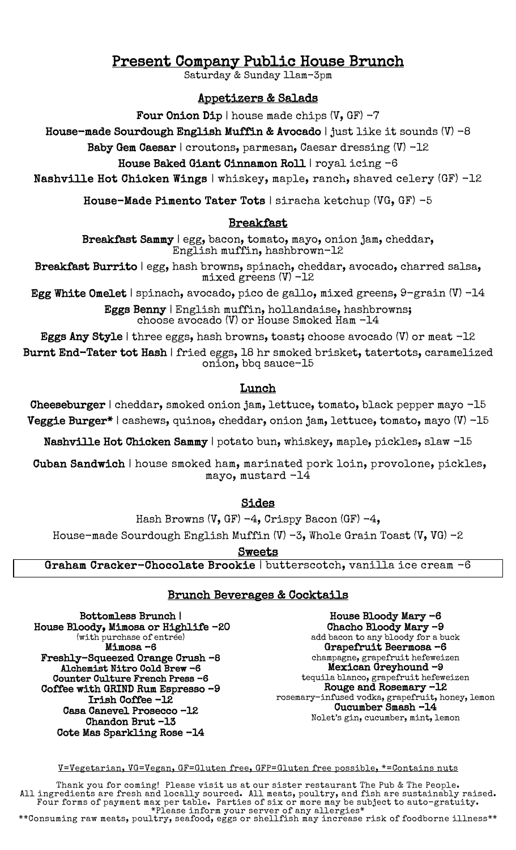# Present Company Public House Brunch<br>Saturday & Sunday 11am-3pm

## Appetizers & Salads

Four Onion Dip | house made chips  $(V, GF) - 7$ 

House-made Sourdough English Muffin & Avocado | just like it sounds  $(V)$  -8

Baby Gem Caesar | croutons, parmesan, Caesar dressing (V) -12

### House Baked Giant Cinnamon Roll | royal icing -6

Nashville Hot Chicken Wings | whiskey, maple, ranch, shaved celery (GF) -12

House-Made Pimento Tater Tots | siracha ketchup (VG, GF) -5

#### Breakfast

Breakfast Sammy | egg, bacon, tomato, mayo, onion jam, cheddar, English muffin, hashbrown-12

Breakfast Burrito | egg, hash browns, spinach, cheddar, avocado, charred salsa, mixed greens (V) -12

Egg White Omelet | spinach, avocado, pico de gallo, mixed greens,  $9$ -grain (V) -14

Eggs Benny | English muffin, hollandaise, hashbrowns; choose avocado (V) or House Smoked Ham -14

Eggs Any Style | three eggs, hash browns, toast; choose avocado  $(V)$  or meat  $-12$ 

Burnt End-Tater tot Hash | fried eggs, 18 hr smoked brisket, tatertots, caramelized onion, bbq sauce-15

#### Lunch

Cheeseburger | cheddar, smoked onion jam, lettuce, tomato, black pepper mayo -15 Veggie Burger\* | cashews, quinoa, cheddar, onion jam, lettuce, tomato, mayo (V) -15

Nashville Hot Chicken Sammy | potato bun, whiskey, maple, pickles, slaw -15

 Cuban Sandwich | house smoked ham, marinated pork loin, provolone, pickles, mayo, mustard -14

#### Sides

Hash Browns  $(V, GF) -4$ , Crispy Bacon (GF)  $-4$ , House-made Sourdough English Muffin  $(V)$  -3, Whole Grain Toast  $(V, VG)$  -2

**Sweets** 

Graham Cracker-Chocolate Brookie | butterscotch, vanilla ice cream -6

#### Brunch Beverages & Cocktails

Bottomless Brunch | House Bloody, Mimosa or Highlife -20 (with purchase of entrée) Mimosa –6 Freshly-Squeezed Orange Crush –8 Alchemist Nitro Cold Brew -6 Counter Culture French Press -6 Coffee with GRIND Rum Espresso –9 Irish Coffee -12 Casa Canevel Prosecco –12 Chandon Brut –13 Cote Mas Sparkling Rose -14

House Bloody Mary -6 Chacho Bloody Mary –9 add bacon to any bloody for a buck Grapefruit Beermosa –6 champagne, grapefruit hefeweizen Mexican Greyhound -9 tequila blanco, grapefruit hefeweizen Rouge and Rosemary –12 rosemary-infused vodka, grapefruit, honey, lemon Cucumber Smash –14 Nolet's gin, cucumber, mint, lemon

V=Vegetarian, VG=Vegan, GF=Gluten free, GFP=Gluten free possible, \*=Contains nuts

Thank you for coming! Please visit us at our sister restaurant The Pub & The People. All ingredients are fresh and locally sourced. All meats, poultry, and fish are sustainably raised. Four forms of payment max per table. Parties of six or more may be subject to auto-gratuity.

\*Please inform your server of any allergies\*<br>\*\*Consuming raw meats, poultry, seafood, eggs or shellfish may increase risk of foodborne illness\*\*